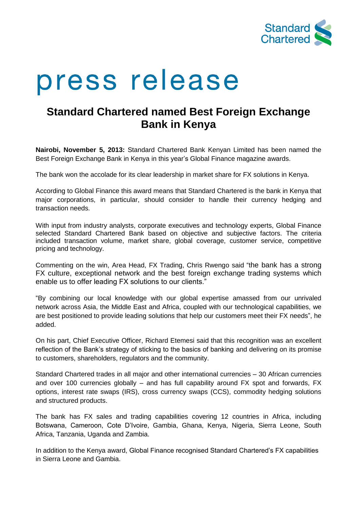

# press release

# **Standard Chartered named Best Foreign Exchange Bank in Kenya**

**Nairobi, November 5, 2013:** Standard Chartered Bank Kenyan Limited has been named the Best Foreign Exchange Bank in Kenya in this year's Global Finance magazine awards.

The bank won the accolade for its clear leadership in market share for FX solutions in Kenya.

According to Global Finance this award means that Standard Chartered is the bank in Kenya that major corporations, in particular, should consider to handle their currency hedging and transaction needs.

With input from industry analysts, corporate executives and technology experts, Global Finance selected Standard Chartered Bank based on objective and subjective factors. The criteria included transaction volume, market share, global coverage, customer service, competitive pricing and technology.

Commenting on the win, Area Head, FX Trading, Chris Rwengo said "the bank has a strong FX culture, exceptional network and the best foreign exchange trading systems which enable us to offer leading FX solutions to our clients."

"By combining our local knowledge with our global expertise amassed from our unrivaled network across Asia, the Middle East and Africa, coupled with our technological capabilities, we are best positioned to provide leading solutions that help our customers meet their FX needs", he added.

On his part, Chief Executive Officer, Richard Etemesi said that this recognition was an excellent reflection of the Bank's strategy of sticking to the basics of banking and delivering on its promise to customers, shareholders, regulators and the community.

Standard Chartered trades in all major and other international currencies – 30 African currencies and over 100 currencies globally – and has full capability around FX spot and forwards, FX options, interest rate swaps (IRS), cross currency swaps (CCS), commodity hedging solutions and structured products.

The bank has FX sales and trading capabilities covering 12 countries in Africa, including Botswana, Cameroon, Cote D'Ivoire, Gambia, Ghana, Kenya, Nigeria, Sierra Leone, South Africa, Tanzania, Uganda and Zambia.

In addition to the Kenya award, Global Finance recognised Standard Chartered's FX capabilities in Sierra Leone and Gambia.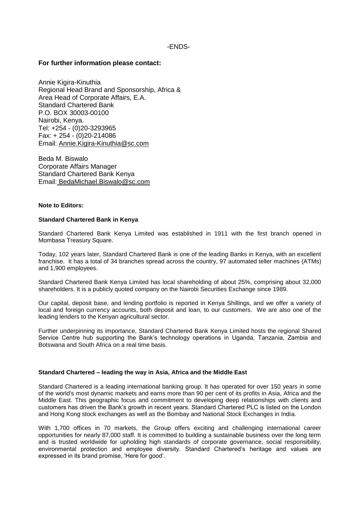# -ENDS-

# **For further information please contact:**

Annie Kigira-Kinuthia Regional Head Brand and Sponsorship, Africa & Area Head of Corporate Affairs, E.A. Standard Chartered Bank P.O. BOX 30003-00100 Nairobi, Kenya. Tel: +254 - (0)20-3293965 Fax: + 254 - (0)20-214086 Email: Annie.Kigira-Kinuthia@sc.com

Beda M. Biswalo Corporate Affairs Manager Standard Chartered Bank Kenya Email: BedaMichael.Biswalo@sc.com

### **Note to Editors:**

### **Standard Chartered Bank in Kenya**

Standard Chartered Bank Kenya Limited was established in 1911 with the first branch opened in Mombasa Treasury Square.

Today, 102 years later, Standard Chartered Bank is one of the leading Banks in Kenya, with an excellent franchise. It has a total of 34 branches spread across the country, 97 automated teller machines (ATMs) and 1,900 employees.

Standard Chartered Bank Kenya Limited has local shareholding of about 25%, comprising about 32,000 shareholders. It is a publicly quoted company on the Nairobi Securities Exchange since 1989.

Our capital, deposit base, and lending portfolio is reported in Kenya Shillings, and we offer a variety of local and foreign currency accounts, both deposit and loan, to our customers. We are also one of the leading lenders to the Kenyan agricultural sector.

Further underpinning its importance, Standard Chartered Bank Kenya Limited hosts the regional Shared Service Centre hub supporting the Bank's technology operations in Uganda, Tanzania, Zambia and Botswana and South Africa on a real time basis.

### **Standard Chartered – leading the way in Asia, Africa and the Middle East**

Standard Chartered is a leading international banking group. It has operated for over 150 years in some of the world's most dynamic markets and earns more than 90 per cent of its profits in Asia, Africa and the Middle East. This geographic focus and commitment to developing deep relationships with clients and customers has driven the Bank's growth in recent years. Standard Chartered PLC is listed on the London and Hong Kong stock exchanges as well as the Bombay and National Stock Exchanges in India.

With 1,700 offices in 70 markets, the Group offers exciting and challenging international career opportunities for nearly 87,000 staff. It is committed to building a sustainable business over the long term and is trusted worldwide for upholding high standards of corporate governance, social responsibility, environmental protection and employee diversity. Standard Chartered's heritage and values are expressed in its brand promise, 'Here for good'.